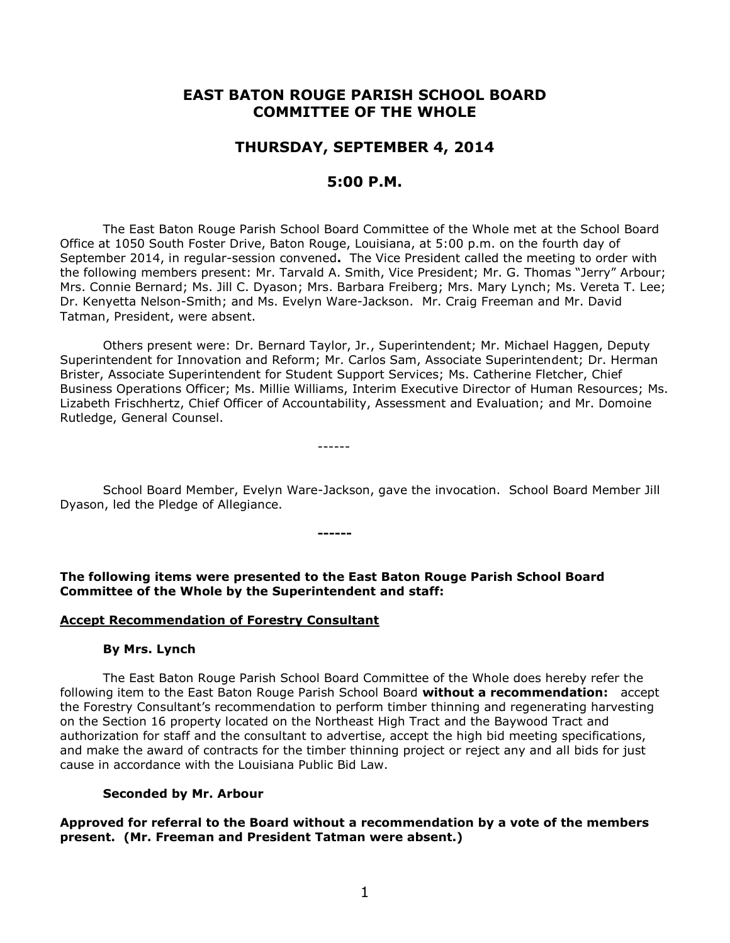# **EAST BATON ROUGE PARISH SCHOOL BOARD COMMITTEE OF THE WHOLE**

# **THURSDAY, SEPTEMBER 4, 2014**

# **5:00 P.M.**

The East Baton Rouge Parish School Board Committee of the Whole met at the School Board Office at 1050 South Foster Drive, Baton Rouge, Louisiana, at 5:00 p.m. on the fourth day of September 2014, in regular-session convened**.** The Vice President called the meeting to order with the following members present: Mr. Tarvald A. Smith, Vice President; Mr. G. Thomas "Jerry" Arbour; Mrs. Connie Bernard; Ms. Jill C. Dyason; Mrs. Barbara Freiberg; Mrs. Mary Lynch; Ms. Vereta T. Lee; Dr. Kenyetta Nelson-Smith; and Ms. Evelyn Ware-Jackson. Mr. Craig Freeman and Mr. David Tatman, President, were absent.

Others present were: Dr. Bernard Taylor, Jr., Superintendent; Mr. Michael Haggen, Deputy Superintendent for Innovation and Reform; Mr. Carlos Sam, Associate Superintendent; Dr. Herman Brister, Associate Superintendent for Student Support Services; Ms. Catherine Fletcher, Chief Business Operations Officer; Ms. Millie Williams, Interim Executive Director of Human Resources; Ms. Lizabeth Frischhertz, Chief Officer of Accountability, Assessment and Evaluation; and Mr. Domoine Rutledge, General Counsel.

------

School Board Member, Evelyn Ware-Jackson, gave the invocation. School Board Member Jill Dyason, led the Pledge of Allegiance.

**------**

**The following items were presented to the East Baton Rouge Parish School Board Committee of the Whole by the Superintendent and staff:**

### **Accept Recommendation of Forestry Consultant**

### **By Mrs. Lynch**

The East Baton Rouge Parish School Board Committee of the Whole does hereby refer the following item to the East Baton Rouge Parish School Board **without a recommendation:** accept the Forestry Consultant's recommendation to perform timber thinning and regenerating harvesting on the Section 16 property located on the Northeast High Tract and the Baywood Tract and authorization for staff and the consultant to advertise, accept the high bid meeting specifications, and make the award of contracts for the timber thinning project or reject any and all bids for just cause in accordance with the Louisiana Public Bid Law.

### **Seconded by Mr. Arbour**

**Approved for referral to the Board without a recommendation by a vote of the members present. (Mr. Freeman and President Tatman were absent.)**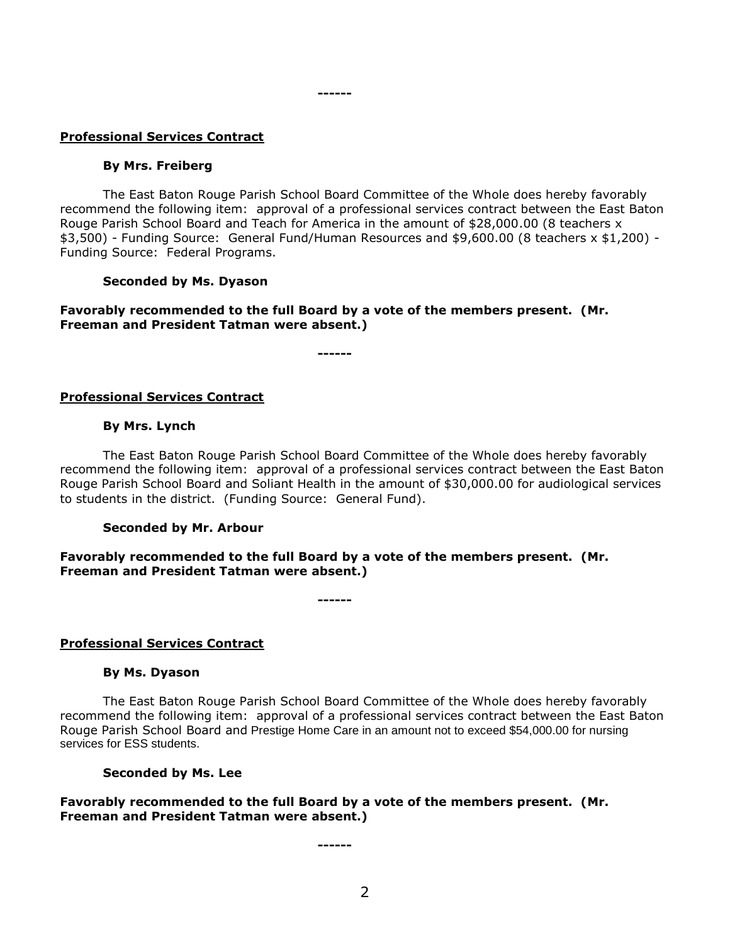### **Professional Services Contract**

#### **By Mrs. Freiberg**

The East Baton Rouge Parish School Board Committee of the Whole does hereby favorably recommend the following item: approval of a professional services contract between the East Baton Rouge Parish School Board and Teach for America in the amount of \$28,000.00 (8 teachers x \$3,500) - Funding Source: General Fund/Human Resources and \$9,600.00 (8 teachers x \$1,200) - Funding Source: Federal Programs.

#### **Seconded by Ms. Dyason**

### **Favorably recommended to the full Board by a vote of the members present. (Mr. Freeman and President Tatman were absent.)**

**------**

**------**

### **Professional Services Contract**

#### **By Mrs. Lynch**

The East Baton Rouge Parish School Board Committee of the Whole does hereby favorably recommend the following item: approval of a professional services contract between the East Baton Rouge Parish School Board and Soliant Health in the amount of \$30,000.00 for audiological services to students in the district. (Funding Source: General Fund).

### **Seconded by Mr. Arbour**

### **Favorably recommended to the full Board by a vote of the members present. (Mr. Freeman and President Tatman were absent.)**

**------**

### **Professional Services Contract**

#### **By Ms. Dyason**

The East Baton Rouge Parish School Board Committee of the Whole does hereby favorably recommend the following item: approval of a professional services contract between the East Baton Rouge Parish School Board and Prestige Home Care in an amount not to exceed \$54,000.00 for nursing services for ESS students.

#### **Seconded by Ms. Lee**

### **Favorably recommended to the full Board by a vote of the members present. (Mr. Freeman and President Tatman were absent.)**

**------**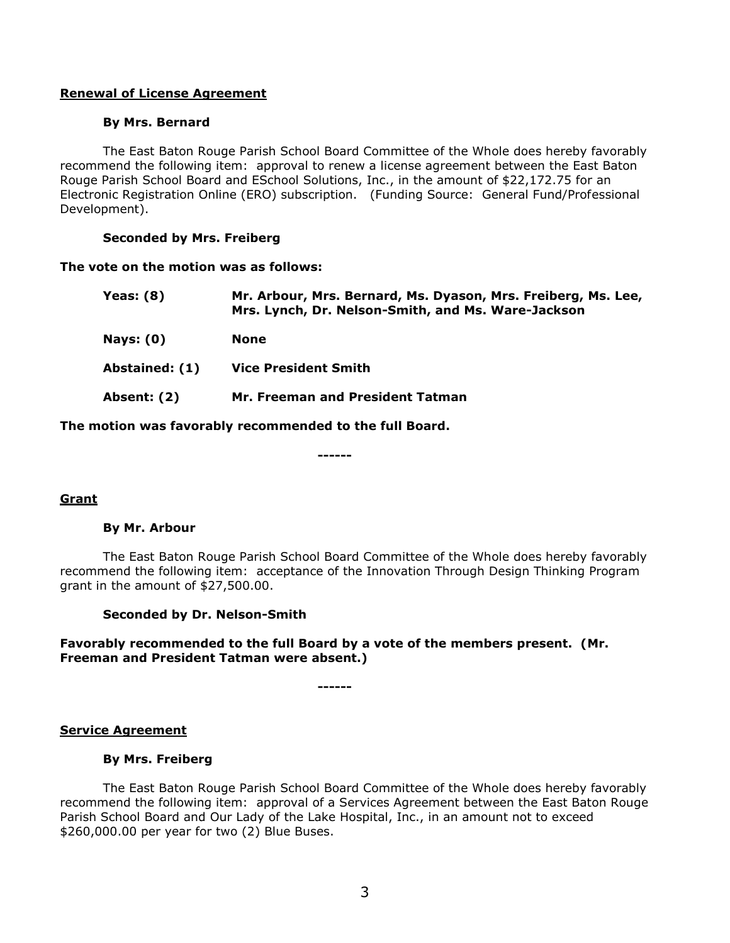# **Renewal of License Agreement**

### **By Mrs. Bernard**

The East Baton Rouge Parish School Board Committee of the Whole does hereby favorably recommend the following item: approval to renew a license agreement between the East Baton Rouge Parish School Board and ESchool Solutions, Inc., in the amount of \$22,172.75 for an Electronic Registration Online (ERO) subscription. (Funding Source: General Fund/Professional Development).

### **Seconded by Mrs. Freiberg**

### **The vote on the motion was as follows:**

| Yeas: $(8)$    | Mr. Arbour, Mrs. Bernard, Ms. Dyason, Mrs. Freiberg, Ms. Lee,<br>Mrs. Lynch, Dr. Nelson-Smith, and Ms. Ware-Jackson |
|----------------|---------------------------------------------------------------------------------------------------------------------|
| Nays: $(0)$    | <b>None</b>                                                                                                         |
| Abstained: (1) | <b>Vice President Smith</b>                                                                                         |
| Absent: (2)    | Mr. Freeman and President Tatman                                                                                    |

**The motion was favorably recommended to the full Board.**

#### **------**

# **Grant**

# **By Mr. Arbour**

The East Baton Rouge Parish School Board Committee of the Whole does hereby favorably recommend the following item: acceptance of the Innovation Through Design Thinking Program grant in the amount of \$27,500.00.

### **Seconded by Dr. Nelson-Smith**

# **Favorably recommended to the full Board by a vote of the members present. (Mr. Freeman and President Tatman were absent.)**

**------**

### **Service Agreement**

### **By Mrs. Freiberg**

The East Baton Rouge Parish School Board Committee of the Whole does hereby favorably recommend the following item: approval of a Services Agreement between the East Baton Rouge Parish School Board and Our Lady of the Lake Hospital, Inc., in an amount not to exceed \$260,000.00 per year for two (2) Blue Buses.